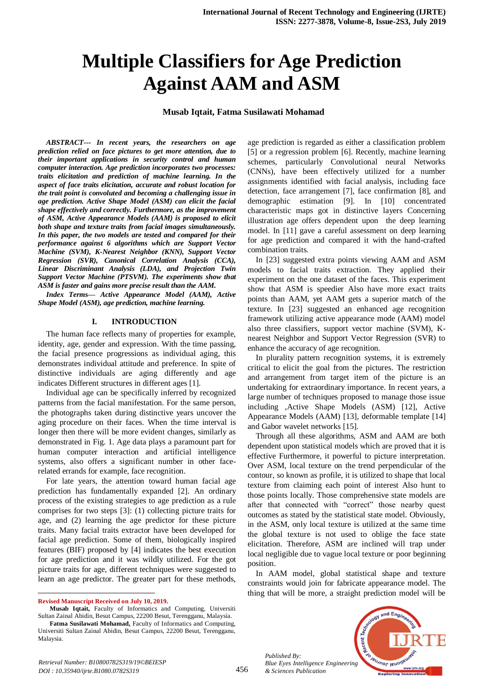# **Multiple Classifiers for Age Prediction Against AAM and ASM**

**Musab Iqtait, Fatma Susilawati Mohamad**

*ABSTRACT--- In recent years, the researchers on age prediction relied on face pictures to get more attention, due to their important applications in security control and human computer interaction. Age prediction incorporates two processes: traits elicitation and prediction of machine learning. In the aspect of face traits elicitation, accurate and robust location for the trait point is convoluted and becoming a challenging issue in age prediction. Active Shape Model (ASM) can elicit the facial shape effectively and correctly. Furthermore, as the improvement of ASM, Active Appearance Models (AAM) is proposed to elicit both shape and texture traits from facial images simultaneously. In this paper, the two models are tested and compared for their performance against 6 algorithms which are Support Vector Machine (SVM), K-Nearest Neighbor (KNN), Support Vector Regression (SVR), Canonical Correlation Analysis (CCA), Linear Discriminant Analysis (LDA), and Projection Twin Support Vector Machine (PTSVM). The experiments show that ASM is faster and gains more precise result than the AAM.*

*Index Terms— Active Appearance Model (AAM), Active Shape Model (ASM), age prediction, machine learning.*

#### **I. INTRODUCTION**

The human face reflects many of properties for example, identity, age, gender and expression. With the time passing, the facial presence progressions as individual aging, this demonstrates individual attitude and preference. In spite of distinctive individuals are aging differently and age indicates Different structures in different ages [1].

Individual age can be specifically inferred by recognized patterns from the facial manifestation. For the same person, the photographs taken during distinctive years uncover the aging procedure on their faces. When the time interval is longer then there will be more evident changes, similarly as demonstrated in Fig. 1. Age data plays a paramount part for human computer interaction and artificial intelligence systems, also offers a significant number in other facerelated errands for example, face recognition.

For late years, the attention toward human facial age prediction has fundamentally expanded [2]. An ordinary process of the existing strategies to age prediction as a rule comprises for two steps [3]: (1) collecting picture traits for age, and (2) learning the age predictor for these picture traits. Many facial traits extractor have been developed for facial age prediction. Some of them, biologically inspired features (BIF) proposed by [4] indicates the best execution for age prediction and it was wildly utilized. For the got picture traits for age, different techniques were suggested to learn an age predictor. The greater part for these methods,

 $\overline{a}$ 

**Musab Iqtait,** Faculty of Informatics and Computing, Universiti Sultan Zainal Abidin, Besut Campus, 22200 Besut, Terengganu, Malaysia.

age prediction is regarded as either a classification problem [5] or a regression problem [6]. Recently, machine learning schemes, particularly Convolutional neural Networks (CNNs), have been effectively utilized for a number assignments identified with facial analysis, including face detection, face arrangement [7], face confirmation [8], and demographic estimation [9]. In [10] concentrated characteristic maps got in distinctive layers Concerning illustration age offers dependent upon the deep learning model. In [11] gave a careful assessment on deep learning for age prediction and compared it with the hand-crafted combination traits.

In [23] suggested extra points viewing AAM and ASM models to facial traits extraction. They applied their experiment on the one dataset of the faces. This experiment show that ASM is speedier Also have more exact traits points than AAM, yet AAM gets a superior match of the texture. In [23] suggested an enhanced age recognition framework utilizing active appearance mode (AAM) model also three classifiers, support vector machine (SVM), Knearest Neighbor and Support Vector Regression (SVR) to enhance the accuracy of age recognition.

In plurality pattern recognition systems, it is extremely critical to elicit the goal from the pictures. The restriction and arrangement from target item of the picture is an undertaking for extraordinary importance. In recent years, a large number of techniques proposed to manage those issue including ,Active Shape Models (ASM) [12], Active Appearance Models (AAM) [13], deformable template [14] and Gabor wavelet networks [15].

Through all these algorithms, ASM and AAM are both dependent upon statistical models which are proved that it is effective Furthermore, it powerful to picture interpretation. Over ASM, local texture on the trend perpendicular of the contour, so known as profile, it is utilized to shape that local texture from claiming each point of interest Also hunt to those points locally. Those comprehensive state models are after that connected with "correct" those nearby quest outcomes as stated by the statistical state model. Obviously, in the ASM, only local texture is utilized at the same time the global texture is not used to oblige the face state elicitation. Therefore, ASM are inclined will trap under local negligible due to vague local texture or poor beginning position.

In AAM model, global statistical shape and texture constraints would join for fabricate appearance model. The thing that will be more, a straight prediction model will be



*Published By: Blue Eyes Intelligence Engineering & Sciences Publication* 

**Revised Manuscript Received on July 10, 2019.**

**Fatma Susilawati Mohamad,** Faculty of Informatics and Computing, Universiti Sultan Zainal Abidin, Besut Campus, 22200 Besut, Terengganu, Malaysia.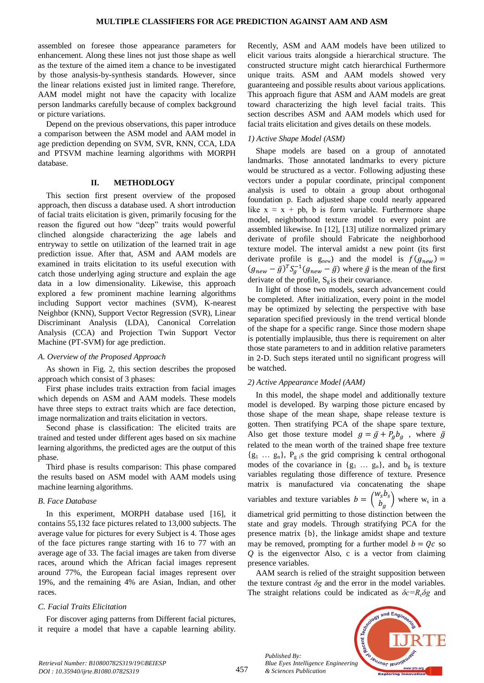assembled on foresee those appearance parameters for enhancement. Along these lines not just those shape as well as the texture of the aimed item a chance to be investigated by those analysis-by-synthesis standards. However, since the linear relations existed just in limited range. Therefore, AAM model might not have the capacity with localize person landmarks carefully because of complex background or picture variations.

Depend on the previous observations, this paper introduce a comparison between the ASM model and AAM model in age prediction depending on SVM, SVR, KNN, CCA, LDA and PTSVM machine learning algorithms with MORPH database.

#### **II. METHODLOGY**

This section first present overview of the proposed approach, then discuss a database used. A short introduction of facial traits elicitation is given, primarily focusing for the reason the figured out how "deep" traits would powerful clinched alongside characterizing the age labels and entryway to settle on utilization of the learned trait in age prediction issue. After that, ASM and AAM models are examined in traits elicitation to its useful execution with catch those underlying aging structure and explain the age data in a low dimensionality. Likewise, this approach explored a few prominent machine learning algorithms including Support vector machines (SVM), K-nearest Neighbor (KNN), Support Vector Regression (SVR), Linear Discriminant Analysis (LDA), Canonical Correlation Analysis (CCA) and Projection Twin Support Vector Machine (PT-SVM) for age prediction.

#### *A. Overview of the Proposed Approach*

As shown in Fig. 2, this section describes the proposed approach which consist of 3 phases:

First phase includes traits extraction from facial images which depends on ASM and AAM models. These models have three steps to extract traits which are face detection, image normalization and traits elicitation in vectors.

Second phase is classification: The elicited traits are trained and tested under different ages based on six machine learning algorithms, the predicted ages are the output of this phase.

Third phase is results comparison: This phase compared the results based on ASM model with AAM models using machine learning algorithms.

#### *B. Face Database*

In this experiment, MORPH database used [16], it contains 55,132 face pictures related to 13,000 subjects. The average value for pictures for every Subject is 4. Those ages of the face pictures range starting with 16 to 77 with an average age of 33. The facial images are taken from diverse races, around which the African facial images represent around 77%, the European facial images represent over 19%, and the remaining 4% are Asian, Indian, and other races.

#### *C. Facial Traits Elicitation*

For discover aging patterns from Different facial pictures, it require a model that have a capable learning ability.

Recently, ASM and AAM models have been utilized to elicit various traits alongside a hierarchical structure. The constructed structure might catch hierarchical Furthermore unique traits. ASM and AAM models showed very guaranteeing and possible results about various applications. This approach figure that ASM and AAM models are great toward characterizing the high level facial traits. This section describes ASM and AAM models which used for facial traits elicitation and gives details on these models.

#### *1) Active Shape Model (ASM)*

Shape models are based on a group of annotated landmarks. Those annotated landmarks to every picture would be structured as a vector. Following adjusting these vectors under a popular coordinate, principal component analysis is used to obtain a group about orthogonal foundation p. Each adjusted shape could nearly appeared like  $x \approx x + pb$ , b is form variable. Furthermore shape model, neighborhood texture model to every point are assembled likewise. In [12], [13] utilize normalized primary derivate of profile should Fabricate the neighborhood texture model. The interval amidst a new point (its first derivate profile is  $g_{new}$  and the model is  $f(g_{new}) =$  $(g_{new} - \bar{g})^T S_q^{-1} (g_{new} - \bar{g})$  where  $\bar{g}$  is the mean of the first derivate of the profile,  $S_{\varphi}$  is their covariance.

In light of those two models, search advancement could be completed. After initialization, every point in the model may be optimized by selecting the perspective with base separation specified previously in the trend vertical blonde of the shape for a specific range. Since those modern shape is potentially implausible, thus there is requirement on alter those state parameters to and in addition relative parameters in 2-D. Such steps iterated until no significant progress will be watched.

#### *2) Active Appearance Model (AAM)*

In this model, the shape model and additionally texture model is developed. By warping those picture encased by those shape of the mean shape, shape release texture is gotten. Then stratifying PCA of the shape spare texture, Also get those texture model  $g = \bar{g} + P_a b_a$ , where  $\bar{g}$ related to the mean worth of the trained shape free texture  ${g_1 \dots g_n}$ ,  $P_g$  is the grid comprising k central orthogonal modes of the covariance in  $\{g_1 \dots g_n\}$ , and  $b_g$  is texture variables regulating those difference of texture. Presence matrix is manufactured via concatenating the shape variables and texture variables  $b = \begin{pmatrix} w \\ i \end{pmatrix}$  $\begin{pmatrix} s & s \\ b & s \end{pmatrix}$  where w<sub>s</sub> in a diametrical grid permitting to those distinction between the state and gray models. Through stratifying PCA for the presence matrix {b}, the linkage amidst shape and texture may be removed, prompting for a further model  $b = Qc$  so

presence variables. AAM search is relied of the straight supposition between the texture contrast *δg* and the error in the model variables. The straight relations could be indicated as  $\delta c = R_c \delta g$  and

*Q* is the eigenvector Also, c is a vector from claiming

*Published By: Blue Eyes Intelligence Engineering & Sciences Publication* 

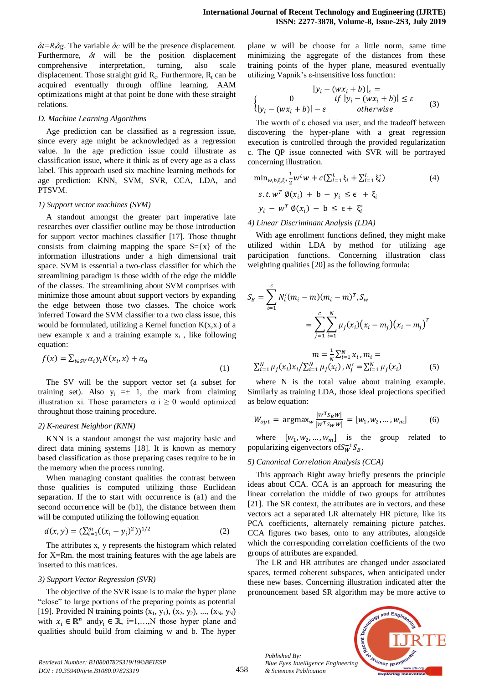*δt*= $R_t$ *δg*. The variable *δc* will be the presence displacement. Furthermore, *δt* will be the position displacement comprehensive interpretation, turning, also scale displacement. Those straight grid  $R_c$ . Furthermore,  $R_t$  can be acquired eventually through offline learning. AAM optimizations might at that point be done with these straight relations.

#### *D. Machine Learning Algorithms*

Age prediction can be classified as a regression issue, since every age might be acknowledged as a regression value. In the age prediction issue could illustrate as classification issue, where it think as of every age as a class label. This approach used six machine learning methods for age prediction: KNN, SVM, SVR, CCA, LDA, and PTSVM.

#### *1) Support vector machines (SVM)*

A standout amongst the greater part imperative late researches over classifier outline may be those introduction for support vector machines classifier [17]. Those thought consists from claiming mapping the space  $S = \{x\}$  of the information illustrations under a high dimensional trait space. SVM is essential a two-class classifier for which the streamlining paradigm is those width of the edge the middle of the classes. The streamlining about SVM comprises with minimize those amount about support vectors by expanding the edge between those two classes. The choice work inferred Toward the SVM classifier to a two class issue, this would be formulated, utilizing a Kernel function  $K(x, x_i)$  of a new example x and a training example  $x_i$ , like following equation:

$$
f(x) = \sum_{i \in SV} \alpha_i y_i K(x_i, x) + \alpha_0
$$
\n(1)

The SV will be the support vector set (a subset for training set). Also  $y_i = \pm 1$ , the mark from claiming illustration xi. Those parameters  $\alpha$  i  $\geq$  0 would optimized throughout those training procedure.

## *2) K-nearest Neighbor (KNN)*

KNN is a standout amongst the vast majority basic and direct data mining systems [18]. It is known as memory based classification as those preparing cases require to be in the memory when the process running.

When managing constant qualities the contrast between those qualities is computed utilizing those Euclidean separation. If the to start with occurrence is (a1) and the second occurrence will be (b1), the distance between them will be computed utilizing the following equation

$$
d(x, y) = (\sum_{i=1}^{m} ((x_i - y_i)^2))^{1/2}
$$
 (2)

The attributes x, y represents the histogram which related for X=Rm. the most training features with the age labels are inserted to this matrices.

#### *3) Support Vector Regression (SVR)*

The objective of the SVR issue is to make the hyper plane "close" to large portions of the preparing points as potential [19]. Provided N training points  $(x_1, y_1)$ ,  $(x_2, y_2)$ , ...,  $(x_N, y_N)$ with  $x_i \in \mathbb{R}^n$  and  $y_i \in \mathbb{R}$ , i=1,...,N those hyper plane and qualities should build from claiming w and b. The hyper

plane w will be choose for a little norm, same time minimizing the aggregate of the distances from these training points of the hyper plane, measured eventually utilizing Vapnik's ε-insensitive loss function:

$$
|y_i - (wx_i + b)|_{\varepsilon} =
$$
  
\n
$$
\begin{cases}\n0 & if |y_i - (wx_i + b)| \le \varepsilon \\
|y_i - (wx_i + b)| - \varepsilon & otherwise\n\end{cases}
$$
 (3)

The worth of ε chosed via user, and the tradeoff between discovering the hyper-plane with a great regression execution is controlled through the provided regularization c. The QP issue connected with SVR will be portrayed concerning illustration.

$$
\min_{w,b,\xi,\xi^*} \frac{1}{2} w^t w + c \left( \sum_{i=1}^L \xi_i + \sum_{i=1}^L \xi_i^* \right)
$$
\n
$$
s.t. w^T \phi(x_i) + b - y_i \leq \epsilon + \xi_i
$$
\n
$$
y_i - w^T \phi(x_i) - b \leq \epsilon + \xi^*
$$
\n
$$
(4)
$$

## *4) Linear Discriminant Analysis (LDA)*

With age enrollment functions defined, they might make utilized within LDA by method for utilizing age participation functions. Concerning illustration class weighting qualities [20] as the following formula:

$$
S_B = \sum_{i=1}^{c} N'_i (m_i - m)(m_i - m)^T, S_w
$$
  
= 
$$
\sum_{j=1}^{c} \sum_{i=1}^{N} \mu_j (x_i) (x_i - m_j) (x_i - m_j)^T
$$
  

$$
m = \frac{1}{N} \sum_{i=1}^{N} x_i, m_i =
$$

$$
\sum_{i=1}^{N} \mu_j(x_i) x_i / \sum_{i=1}^{N} \mu_j(x_i), N'_j = \sum_{i=1}^{N} \mu_j(x_i)
$$
 (5)

where N is the total value about training example. Similarly as training LDA, those ideal projections specified as below equation:

$$
W_{opt} = \text{argmax}_{w} \frac{|w^T s_B w|}{|w^T s_W w|} = [w_1, w_2, ..., w_m]
$$
 (6)

where  $[w_1, w_2, ..., w_m]$  is the group related to popularizing eigenvectors of  $S_W^{-1}S_B$ .

## *5) Canonical Correlation Analysis (CCA)*

This approach Right away briefly presents the principle ideas about CCA. CCA is an approach for measuring the linear correlation the middle of two groups for attributes [21]. The SR context, the attributes are in vectors, and these vectors act a separated LR alternately HR picture, like its PCA coefficients, alternately remaining picture patches. CCA figures two bases, onto to any attributes, alongside which the corresponding correlation coefficients of the two groups of attributes are expanded.

The LR and HR attributes are changed under associated spaces, termed coherent subspaces, when anticipated under these new bases. Concerning illustration indicated after the pronouncement based SR algorithm may be more active to

*Published By: Blue Eyes Intelligence Engineering & Sciences Publication* 

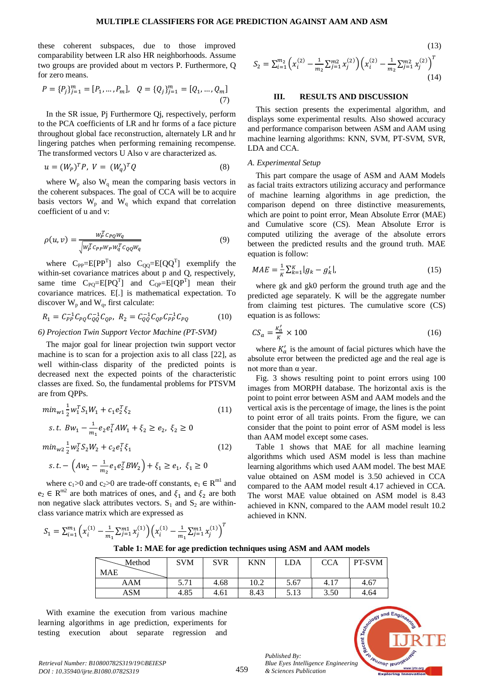these coherent subspaces, due to those improved comparability between LR also HR neighborhoods. Assume two groups are provided about m vectors P. Furthermore, Q for zero means.

$$
P = \{P_j\}_{j=1}^m = [P_1, \dots, P_m], \quad Q = \{Q_j\}_{j=1}^m = [Q_1, \dots, Q_m]
$$
\n(7)

In the SR issue, Pj Furthermore Qj, respectively, perform to the PCA coefficients of LR and hr forms of a face picture throughout global face reconstruction, alternately LR and hr lingering patches when performing remaining recompense. The transformed vectors U Also v are characterized as.

$$
u = (W_p)^T P, \ V = (W_a)^T Q \tag{8}
$$

where  $W_p$  also  $W_q$  mean the comparing basis vectors in the coherent subspaces. The goal of CCA will be to acquire basis vectors  $W_p$  and  $W_q$  which expand that correlation coefficient of u and v:

$$
\rho(u,v) = \frac{w_P^T c_{PQ} w_q}{\sqrt{w_P^T c_{PP} w_P w_q^T c_{QQ} w_q}}
$$
\n(9)

where  $C_{PP} = E[PP^{T}]$  also  $C_{QQ} = E[QQ^{T}]$  exemplify the within-set covariance matrices about p and Q, respectively, same time  $C_{PQ} = E[PQ^T]$  and  $C_{QP} = E[QP^T]$  mean their covariance matrices. E[.] is mathematical expectation. To discover  $W_p$  and  $W_q$ , first calculate:

$$
R_1 = C_{PP}^{-1} C_{PQ} C_{QQ}^{-1} C_{QP}, \ R_2 = C_{QQ}^{-1} C_{QP} C_{PP}^{-1} C_{PQ} \tag{10}
$$

## *6) Projection Twin Support Vector Machine (PT-SVM)*

The major goal for linear projection twin support vector machine is to scan for a projection axis to all class [22], as well within-class disparity of the predicted points is decreased next the expected points of the characteristic classes are fixed. So, the fundamental problems for PTSVM are from QPPs.

$$
min_{w1} \frac{1}{2} w_1^T S_1 W_1 + c_1 e_2^T \xi_2
$$
\n
$$
s.t. B w_1 - \frac{1}{m_1} e_2 e_1^T A W_1 + \xi_2 \ge e_2, \ \xi_2 \ge 0
$$
\n
$$
min_{w2} \frac{1}{2} w_2^T S_2 W_2 + c_2 e_1^T \xi_1
$$
\n
$$
(12)
$$

$$
s.t. - (Aw_2 - \frac{1}{m_2}e_1e_2^TBW_2) + \xi_1 \ge e_1, \xi_1 \ge 0
$$

where  $c_1 > 0$  and  $c_2 > 0$  are trade-off constants,  $e_1 \in \mathbb{R}^{m_1}$  and  $e_2 \in R^{m2}$  are both matrices of ones, and  $\xi_1$  and  $\xi_2$  are both non negative slack attributes vectors.  $S_1$  and  $S_2$  are withinclass variance matrix which are expressed as

(13)  

$$
S_2 = \sum_{i=1}^{m_2} \left( x_i^{(2)} - \frac{1}{m_2} \sum_{j=1}^{m_2} x_j^{(2)} \right) \left( x_i^{(2)} - \frac{1}{m_2} \sum_{j=1}^{m_2} x_j^{(2)} \right)^T
$$
(14)

#### **III. RESULTS AND DISCUSSION**

This section presents the experimental algorithm, and displays some experimental results. Also showed accuracy and performance comparison between ASM and AAM using machine learning algorithms: KNN, SVM, PT-SVM, SVR, LDA and CCA.

#### *A. Experimental Setup*

This part compare the usage of ASM and AAM Models as facial traits extractors utilizing accuracy and performance of machine learning algorithms in age prediction, the comparison depend on three distinctive measurements, which are point to point error, Mean Absolute Error (MAE) and Cumulative score (CS). Mean Absolute Error is computed utilizing the average of the absolute errors between the predicted results and the ground truth. MAE equation is follow:

$$
MAE = \frac{1}{\kappa} \sum_{k=1}^{K} |g_k - g'_k|, \tag{15}
$$

where gk and gk0 perform the ground truth age and the predicted age separately. K will be the aggregate number from claiming test pictures. The cumulative score (CS) equation is as follows:

$$
CS_a = \frac{\kappa_a'}{\kappa} \times 100\tag{16}
$$

where  $K'_a$  is the amount of facial pictures which have the absolute error between the predicted age and the real age is not more than α year.

Fig. 3 shows resulting point to point errors using 100 images from MORPH database. The horizontal axis is the point to point error between ASM and AAM models and the vertical axis is the percentage of image, the lines is the point to point error of all traits points. From the figure, we can consider that the point to point error of ASM model is less than AAM model except some cases.

Table 1 shows that MAE for all machine learning algorithms which used ASM model is less than machine learning algorithms which used AAM model. The best MAE value obtained on ASM model is 3.50 achieved in CCA compared to the AAM model result 4.17 achieved in CCA. The worst MAE value obtained on ASM model is 8.43 achieved in KNN, compared to the AAM model result 10.2 achieved in KNN.

$$
S_1 = \sum_{i=1}^{m_1} \left( x_i^{(1)} - \frac{1}{m_1} \sum_{j=1}^{m_1} x_j^{(1)} \right) \left( x_i^{(1)} - \frac{1}{m_1} \sum_{j=1}^{m_1} x_j^{(1)} \right)^T
$$

**Table 1: MAE for age prediction techniques using ASM and AAM models**

| Method     | <b>SVM</b> | <b>SVR</b> | <b>KNN</b> | LDA  | CCA  | PT-SVM |
|------------|------------|------------|------------|------|------|--------|
| <b>MAE</b> |            |            |            |      |      |        |
| AAM        | 5.71       | 4.68       | 10.2       | 5.67 | 4.17 | 4.67   |
| ASM        | 4.85       | 4.61       | 8.43       | 5.13 | 3.50 | 4.64   |

With examine the execution from various machine learning algorithms in age prediction, experiments for testing execution about separate regression and

*Published By:*

*& Sciences Publication* 

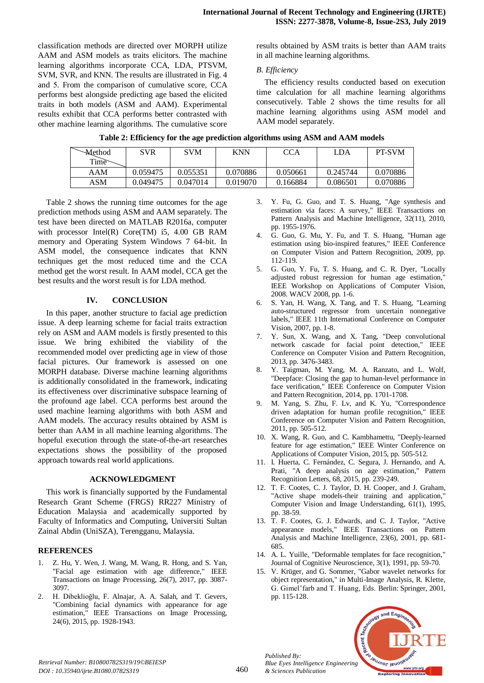classification methods are directed over MORPH utilize AAM and ASM models as traits elicitors. The machine learning algorithms incorporate CCA, LDA, PTSVM, SVM, SVR, and KNN. The results are illustrated in Fig. 4 and 5. From the comparison of cumulative score, CCA performs best alongside predicting age based the elicited traits in both models (ASM and AAM). Experimental results exhibit that CCA performs better contrasted with other machine learning algorithms. The cumulative score

results obtained by ASM traits is better than AAM traits in all machine learning algorithms.

## *B. Efficiency*

The efficiency results conducted based on execution time calculation for all machine learning algorithms consecutively. Table 2 shows the time results for all machine learning algorithms using ASM model and AAM model separately.

|  | Table 2: Efficiency for the age prediction algorithms using ASM and AAM models |  |  |  |  |
|--|--------------------------------------------------------------------------------|--|--|--|--|
|  |                                                                                |  |  |  |  |

| <b>Method</b> | SVR      | <b>SVM</b> | <b>KNN</b> | <b>CCA</b> | LDA      | <b>PT-SVM</b> |
|---------------|----------|------------|------------|------------|----------|---------------|
| Time          |          |            |            |            |          |               |
| AAM           | 0.059475 | 0.055351   | 0.070886   | 0.050661   | 0.245744 | 0.070886      |
| ASM           | 0.049475 | 0.047014   | 0.019070   | 0.166884   | 0.086501 | 0.070886      |

Table 2 shows the running time outcomes for the age prediction methods using ASM and AAM separately. The test have been directed on MATLAB R2016a, computer with processor Intel(R) Core(TM) i5, 4.00 GB RAM memory and Operating System Windows 7 64-bit. In ASM model, the consequence indicates that KNN techniques get the most reduced time and the CCA method get the worst result. In AAM model, CCA get the best results and the worst result is for LDA method.

# **IV. CONCLUSION**

In this paper, another structure to facial age prediction issue. A deep learning scheme for facial traits extraction rely on ASM and AAM models is firstly presented to this issue. We bring exhibited the viability of the recommended model over predicting age in view of those facial pictures. Our framework is assessed on one MORPH database. Diverse machine learning algorithms is additionally consolidated in the framework, indicating its effectiveness over discriminative subspace learning of the profound age label. CCA performs best around the used machine learning algorithms with both ASM and AAM models. The accuracy results obtained by ASM is better than AAM in all machine learning algorithms. The hopeful execution through the state-of-the-art researches expectations shows the possibility of the proposed approach towards real world applications.

## **ACKNOWLEDGMENT**

This work is financially supported by the Fundamental Research Grant Scheme (FRGS) RR227 Ministry of Education Malaysia and academically supported by Faculty of Informatics and Computing, Universiti Sultan Zainal Abdin (UniSZA), Terengganu, Malaysia.

# **REFERENCES**

- 1. Z. Hu, Y. Wen, J. Wang, M. Wang, R. Hong, and S. Yan, "Facial age estimation with age difference," IEEE Transactions on Image Processing, 26(7), 2017, pp. 3087- 3097.
- 2. H. Dibeklioğlu, F. Alnajar, A. A. Salah, and T. Gevers, "Combining facial dynamics with appearance for age estimation," IEEE Transactions on Image Processing, 24(6), 2015, pp. 1928-1943.
- 3. Y. Fu, G. Guo, and T. S. Huang, "Age synthesis and estimation via faces: A survey," IEEE Transactions on Pattern Analysis and Machine Intelligence, 32(11), 2010, pp. 1955-1976.
- 4. G. Guo, G. Mu, Y. Fu, and T. S. Huang, "Human age estimation using bio-inspired features," IEEE Conference on Computer Vision and Pattern Recognition, 2009, pp. 112-119.
- 5. G. Guo, Y. Fu, T. S. Huang, and C. R. Dyer, "Locally adjusted robust regression for human age estimation, IEEE Workshop on Applications of Computer Vision, 2008. WACV 2008, pp. 1-6.
- 6. S. Yan, H. Wang, X. Tang, and T. S. Huang, "Learning auto-structured regressor from uncertain nonnegative labels," IEEE 11th International Conference on Computer Vision, 2007, pp. 1-8.
- 7. Y. Sun, X. Wang, and X. Tang, "Deep convolutional network cascade for facial point detection," IEEE Conference on Computer Vision and Pattern Recognition, 2013, pp. 3476-3483.
- 8. Y. Taigman, M. Yang, M. A. Ranzato, and L. Wolf, "Deepface: Closing the gap to human-level performance in face verification," IEEE Conference on Computer Vision and Pattern Recognition, 2014, pp. 1701-1708.
- 9. M. Yang, S. Zhu, F. Lv, and K. Yu, "Correspondence driven adaptation for human profile recognition," IEEE Conference on Computer Vision and Pattern Recognition, 2011, pp. 505-512.
- 10. X. Wang, R. Guo, and C. Kambhamettu, "Deeply-learned feature for age estimation," IEEE Winter Conference on Applications of Computer Vision, 2015, pp. 505-512.
- 11. I. Huerta, C. Fernández, C. Segura, J. Hernando, and A. Prati, "A deep analysis on age estimation," Pattern Recognition Letters, 68, 2015, pp. 239-249.
- 12. T. F. Cootes, C. J. Taylor, D. H. Cooper, and J. Graham, "Active shape models-their training and application," Computer Vision and Image Understanding, 61(1), 1995, pp. 38-59.
- 13. T. F. Cootes, G. J. Edwards, and C. J. Taylor, "Active appearance models," IEEE Transactions on Pattern Analysis and Machine Intelligence, 23(6), 2001, pp. 681- 685.
- 14. A. L. Yuille, "Deformable templates for face recognition," Journal of Cognitive Neuroscience, 3(1), 1991, pp. 59-70.
- 15. V. Krüger, and G. Sommer, "Gabor wavelet networks for object representation," in Multi-Image Analysis, R. Klette, G. Gimel'farb and T. Huang, Eds. Berlin: Springer, 2001, pp. 115-128.



*Published By:*

*& Sciences Publication*